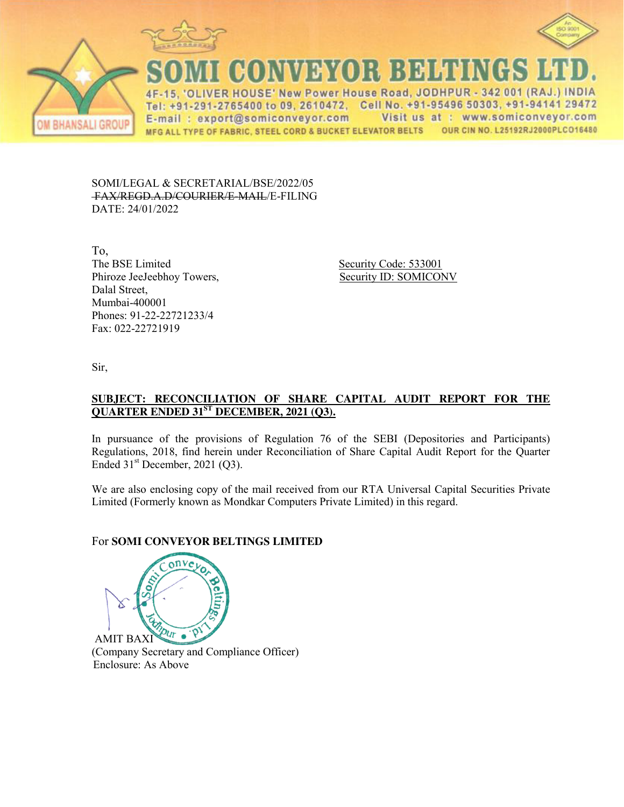



CONVEYOR BELTIN

4F-15, 'OLIVER HOUSE' New Power House Road, JODHPUR - 342 001 (RAJ.) INDIA Tel: +91-291-2765400 to 09, 2610472, Cell No. +91-95496 50303, +91-94141 29472 Visit us at : www.somiconveyor.com E-mail: export@somiconveyor.com MFG ALL TYPE OF FABRIC, STEEL CORD & BUCKET ELEVATOR BELTS OUR CIN NO. L25192RJ2000PLCO16480

SOMI/LEGAL & SECRETARIAL/BSE/2022/05 FAX/REGD.A.D/COURIER/E-MAIL/E-FILING DATE: 24/01/2022

To, The BSE Limited Security Code: 533001 Phiroze JeeJeebhoy Towers, Security ID: SOMICONV Dalal Street, Mumbai-400001 Phones: 91-22-22721233/4 Fax: 022-22721919

Sir,

I BHANSALI GROU

## **SUBJECT: RECONCILIATION OF SHARE CAPITAL AUDIT REPORT FOR THE QUARTER ENDED 31ST DECEMBER, 2021 (Q3).**

In pursuance of the provisions of Regulation 76 of the SEBI (Depositories and Participants) Regulations, 2018, find herein under Reconciliation of Share Capital Audit Report for the Quarter Ended  $31<sup>st</sup>$  December, 2021 (Q3).

We are also enclosing copy of the mail received from our RTA Universal Capital Securities Private Limited (Formerly known as Mondkar Computers Private Limited) in this regard.

# For **SOMI CONVEYOR BELTINGS LIMITED**

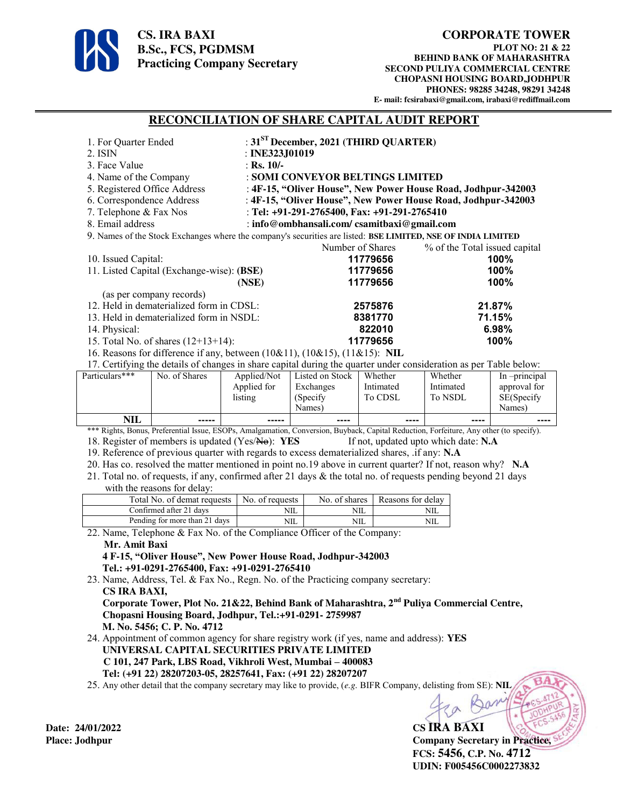

#### **CORPORATE TOWER**

**PLOT NO: 21 & 22 BEHIND BANK OF MAHARASHTRA SECOND PULIYA COMMERCIAL CENTRE CHOPASNI HOUSING BOARD,JODHPUR PHONES: 98285 34248, 98291 34248 E- mail: fcsirabaxi@gmail.com, irabaxi@rediffmail.com** 

#### **RECONCILIATION OF SHARE CAPITAL AUDIT REPORT**

| 1. For Quarter Ended                                                                                                                                                                           |                                                                                                                                         |                 | : $31ST$ December, 2021 (THIRD QUARTER)                                                                    |                   |           |              |  |  |
|------------------------------------------------------------------------------------------------------------------------------------------------------------------------------------------------|-----------------------------------------------------------------------------------------------------------------------------------------|-----------------|------------------------------------------------------------------------------------------------------------|-------------------|-----------|--------------|--|--|
| 2. ISIN                                                                                                                                                                                        |                                                                                                                                         |                 | : INE323J01019                                                                                             |                   |           |              |  |  |
| 3. Face Value                                                                                                                                                                                  |                                                                                                                                         |                 | : Rs. $10/-$                                                                                               |                   |           |              |  |  |
| 4. Name of the Company                                                                                                                                                                         |                                                                                                                                         |                 | : SOMI CONVEYOR BELTINGS LIMITED                                                                           |                   |           |              |  |  |
| 5. Registered Office Address                                                                                                                                                                   |                                                                                                                                         |                 | : 4F-15, "Oliver House", New Power House Road, Jodhpur-342003                                              |                   |           |              |  |  |
| 6. Correspondence Address                                                                                                                                                                      |                                                                                                                                         |                 | : 4F-15, "Oliver House", New Power House Road, Jodhpur-342003                                              |                   |           |              |  |  |
| 7. Telephone & Fax Nos                                                                                                                                                                         |                                                                                                                                         |                 | : Tel: +91-291-2765400, Fax: +91-291-2765410                                                               |                   |           |              |  |  |
| 8. Email address<br>: info@ombhansali.com/csamitbaxi@gmail.com                                                                                                                                 |                                                                                                                                         |                 |                                                                                                            |                   |           |              |  |  |
| 9. Names of the Stock Exchanges where the company's securities are listed: BSE LIMITED, NSE OF INDIA LIMITED                                                                                   |                                                                                                                                         |                 |                                                                                                            |                   |           |              |  |  |
|                                                                                                                                                                                                |                                                                                                                                         |                 | Number of Shares<br>% of the Total issued capital                                                          |                   |           |              |  |  |
| 10. Issued Capital:<br>11. Listed Capital (Exchange-wise): (BSE)                                                                                                                               |                                                                                                                                         |                 | 100%<br>11779656                                                                                           |                   |           |              |  |  |
|                                                                                                                                                                                                |                                                                                                                                         |                 | 100%<br>11779656                                                                                           |                   |           |              |  |  |
|                                                                                                                                                                                                |                                                                                                                                         | (NSE)           |                                                                                                            | 11779656          |           | 100%         |  |  |
| (as per company records)<br>12. Held in dematerialized form in CDSL:                                                                                                                           |                                                                                                                                         |                 |                                                                                                            |                   |           |              |  |  |
|                                                                                                                                                                                                |                                                                                                                                         |                 | 2575876                                                                                                    |                   | 21.87%    |              |  |  |
|                                                                                                                                                                                                | 13. Held in dematerialized form in NSDL:                                                                                                |                 | 8381770                                                                                                    |                   | 71.15%    |              |  |  |
| 14. Physical:                                                                                                                                                                                  |                                                                                                                                         |                 | 822010                                                                                                     |                   |           | 6.98%        |  |  |
| 15. Total No. of shares $(12+13+14)$ :<br>11779656<br>100%                                                                                                                                     |                                                                                                                                         |                 |                                                                                                            |                   |           |              |  |  |
| 16. Reasons for difference if any, between (10&11), (10&15), (11&15): NIL<br>17. Certifying the details of changes in share capital during the quarter under consideration as per Table below: |                                                                                                                                         |                 |                                                                                                            |                   |           |              |  |  |
| Particulars***                                                                                                                                                                                 | No. of Shares                                                                                                                           | Applied/Not     | Listed on Stock                                                                                            | Whether           | Whether   | In-principal |  |  |
|                                                                                                                                                                                                |                                                                                                                                         | Applied for     | Exchanges                                                                                                  | Intimated         | Intimated | approval for |  |  |
|                                                                                                                                                                                                |                                                                                                                                         | listing         | (Specify                                                                                                   | To CDSL           | To NSDL   | SE(Specify   |  |  |
|                                                                                                                                                                                                |                                                                                                                                         |                 | Names)                                                                                                     |                   |           | Names)       |  |  |
| NIL                                                                                                                                                                                            |                                                                                                                                         | -----           |                                                                                                            |                   |           |              |  |  |
|                                                                                                                                                                                                | *** Rights, Bonus, Preferential Issue, ESOPs, Amalgamation, Conversion, Buyback, Capital Reduction, Forfeiture, Any other (to specify). |                 |                                                                                                            |                   |           |              |  |  |
| 18. Register of members is updated (Yes/No): YES<br>If not, updated upto which date: N.A                                                                                                       |                                                                                                                                         |                 |                                                                                                            |                   |           |              |  |  |
| 19. Reference of previous quarter with regards to excess dematerialized shares, .if any: N.A.                                                                                                  |                                                                                                                                         |                 |                                                                                                            |                   |           |              |  |  |
| 20. Has co. resolved the matter mentioned in point no.19 above in current quarter? If not, reason why? N.A.                                                                                    |                                                                                                                                         |                 |                                                                                                            |                   |           |              |  |  |
| 21. Total no. of requests, if any, confirmed after 21 days & the total no. of requests pending beyond 21 days                                                                                  |                                                                                                                                         |                 |                                                                                                            |                   |           |              |  |  |
|                                                                                                                                                                                                | with the reasons for delay:                                                                                                             |                 |                                                                                                            |                   |           |              |  |  |
| Total No. of demat requests                                                                                                                                                                    |                                                                                                                                         | No. of requests | No. of shares                                                                                              | Reasons for delay |           |              |  |  |
| Confirmed after 21 days                                                                                                                                                                        |                                                                                                                                         |                 | <b>NIL</b>                                                                                                 | NIL               | NIL       |              |  |  |
|                                                                                                                                                                                                | Pending for more than 21 days                                                                                                           |                 | NIL<br><b>NIL</b><br><b>NIL</b><br>22. Name, Telephone & Fax No. of the Compliance Officer of the Company: |                   |           |              |  |  |
|                                                                                                                                                                                                |                                                                                                                                         |                 |                                                                                                            |                   |           |              |  |  |
| Mr. Amit Baxi                                                                                                                                                                                  |                                                                                                                                         |                 |                                                                                                            |                   |           |              |  |  |
| 4 F-15, "Oliver House", New Power House Road, Jodhpur-342003<br>Tel.: +91-0291-2765400, Fax: +91-0291-2765410                                                                                  |                                                                                                                                         |                 |                                                                                                            |                   |           |              |  |  |
| 23. Name, Address, Tel. & Fax No., Regn. No. of the Practicing company secretary:                                                                                                              |                                                                                                                                         |                 |                                                                                                            |                   |           |              |  |  |
|                                                                                                                                                                                                |                                                                                                                                         |                 |                                                                                                            |                   |           |              |  |  |

 **CS IRA BAXI, Corporate Tower, Plot No. 21&22, Behind Bank of Maharashtra, 2nd Puliya Commercial Centre, Chopasni Housing Board, Jodhpur, Tel.:+91-0291- 2759987 M. No. 5456; C. P. No. 4712** 

24. Appointment of common agency for share registry work (if yes, name and address): **YES UNIVERSAL CAPITAL SECURITIES PRIVATE LIMITED C 101, 247 Park, LBS Road, Vikhroli West, Mumbai – 400083 Tel: (+91 22) 28207203-05, 28257641, Fax: (+91 22) 28207207**

25. Any other detail that the company secretary may like to provide, (*e.g.* BIFR Company, delisting from SE): **NIL**

**Place: Jodhpur Company Secretary in Practice, FCS: 5456, C.P. No. 4712 UDIN: F005456C0002273832** 

**Date: 24/01/2022 CS IRA BAXI**